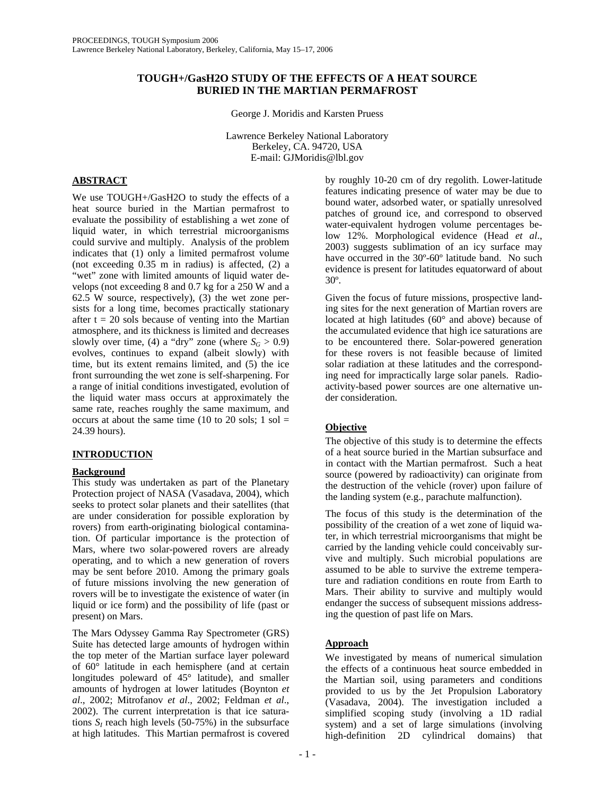# **TOUGH+/GasH2O STUDY OF THE EFFECTS OF A HEAT SOURCE BURIED IN THE MARTIAN PERMAFROST**

George J. Moridis and Karsten Pruess

Lawrence Berkeley National Laboratory Berkeley, CA. 94720, USA E-mail: GJMoridis@lbl.gov

# **ABSTRACT**

We use TOUGH+/GasH2O to study the effects of a heat source buried in the Martian permafrost to evaluate the possibility of establishing a wet zone of liquid water, in which terrestrial microorganisms could survive and multiply. Analysis of the problem indicates that (1) only a limited permafrost volume (not exceeding 0.35 m in radius) is affected, (2) a "wet" zone with limited amounts of liquid water develops (not exceeding 8 and 0.7 kg for a 250 W and a  $62.5$  W source, respectively), (3) the wet zone persists for a long time, becomes practically stationary after  $t = 20$  sols because of venting into the Martian atmosphere, and its thickness is limited and decreases slowly over time, (4) a "dry" zone (where  $S_G > 0.9$ ) evolves, continues to expand (albeit slowly) with time, but its extent remains limited, and (5) the ice front surrounding the wet zone is self-sharpening. For a range of initial conditions investigated, evolution of the liquid water mass occurs at approximately the same rate, reaches roughly the same maximum, and occurs at about the same time (10 to 20 sols;  $1$  sol = 24.39 hours).

# **INTRODUCTION**

## **Background**

This study was undertaken as part of the Planetary Protection project of NASA (Vasadava, 2004), which seeks to protect solar planets and their satellites (that are under consideration for possible exploration by rovers) from earth-originating biological contamination. Of particular importance is the protection of Mars, where two solar-powered rovers are already operating, and to which a new generation of rovers may be sent before 2010. Among the primary goals of future missions involving the new generation of rovers will be to investigate the existence of water (in liquid or ice form) and the possibility of life (past or present) on Mars.

The Mars Odyssey Gamma Ray Spectrometer (GRS) Suite has detected large amounts of hydrogen within the top meter of the Martian surface layer poleward of 60° latitude in each hemisphere (and at certain longitudes poleward of 45° latitude), and smaller amounts of hydrogen at lower latitudes (Boynton *et al*., 2002; Mitrofanov *et al*., 2002; Feldman *et al*., 2002). The current interpretation is that ice saturations  $S_I$  reach high levels (50-75%) in the subsurface at high latitudes. This Martian permafrost is covered

by roughly 10-20 cm of dry regolith. Lower-latitude features indicating presence of water may be due to bound water, adsorbed water, or spatially unresolved patches of ground ice, and correspond to observed water-equivalent hydrogen volume percentages below 12%. Morphological evidence (Head *et al*., 2003) suggests sublimation of an icy surface may have occurred in the 30º-60º latitude band. No such evidence is present for latitudes equatorward of about 30º.

Given the focus of future missions, prospective landing sites for the next generation of Martian rovers are located at high latitudes (60° and above) because of the accumulated evidence that high ice saturations are to be encountered there. Solar-powered generation for these rovers is not feasible because of limited solar radiation at these latitudes and the corresponding need for impractically large solar panels. Radioactivity-based power sources are one alternative under consideration.

# **Objective**

The objective of this study is to determine the effects of a heat source buried in the Martian subsurface and in contact with the Martian permafrost. Such a heat source (powered by radioactivity) can originate from the destruction of the vehicle (rover) upon failure of the landing system (e.g., parachute malfunction).

The focus of this study is the determination of the possibility of the creation of a wet zone of liquid water, in which terrestrial microorganisms that might be carried by the landing vehicle could conceivably survive and multiply. Such microbial populations are assumed to be able to survive the extreme temperature and radiation conditions en route from Earth to Mars. Their ability to survive and multiply would endanger the success of subsequent missions addressing the question of past life on Mars.

# **Approach**

We investigated by means of numerical simulation the effects of a continuous heat source embedded in the Martian soil, using parameters and conditions provided to us by the Jet Propulsion Laboratory (Vasadava, 2004). The investigation included a simplified scoping study (involving a 1D radial system) and a set of large simulations (involving high-definition 2D cylindrical domains) that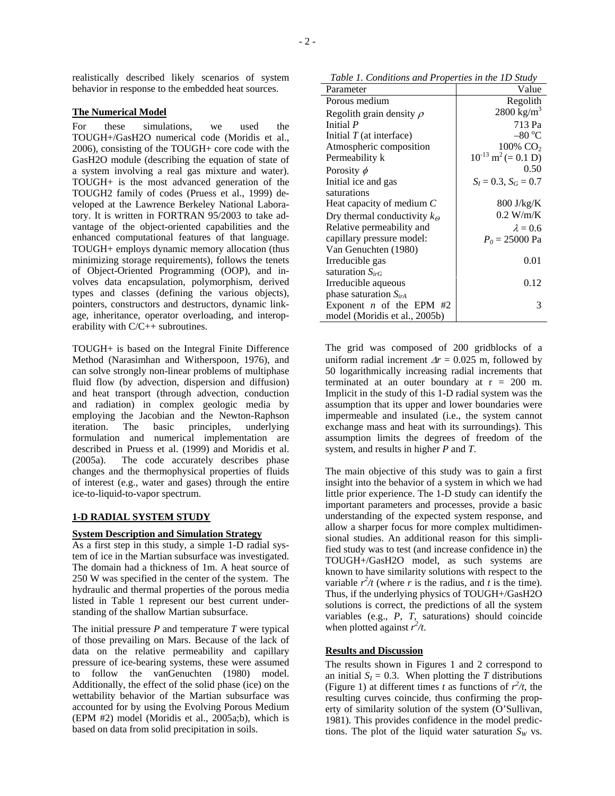realistically described likely scenarios of system behavior in response to the embedded heat sources.

#### **The Numerical Model**

For these simulations, we used the TOUGH+/GasH2O numerical code (Moridis et al., 2006), consisting of the TOUGH+ core code with the GasH2O module (describing the equation of state of a system involving a real gas mixture and water). TOUGH+ is the most advanced generation of the TOUGH2 family of codes (Pruess et al., 1999) developed at the Lawrence Berkeley National Laboratory. It is written in FORTRAN 95/2003 to take advantage of the object-oriented capabilities and the enhanced computational features of that language. TOUGH+ employs dynamic memory allocation (thus minimizing storage requirements), follows the tenets of Object-Oriented Programming (OOP), and involves data encapsulation, polymorphism, derived types and classes (defining the various objects), pointers, constructors and destructors, dynamic linkage, inheritance, operator overloading, and interoperability with C/C++ subroutines.

TOUGH+ is based on the Integral Finite Difference Method (Narasimhan and Witherspoon, 1976), and can solve strongly non-linear problems of multiphase fluid flow (by advection, dispersion and diffusion) and heat transport (through advection, conduction and radiation) in complex geologic media by employing the Jacobian and the Newton-Raphson iteration. The basic principles, underlying formulation and numerical implementation are described in Pruess et al. (1999) and Moridis et al. (2005a). The code accurately describes phase changes and the thermophysical properties of fluids of interest (e.g., water and gases) through the entire ice-to-liquid-to-vapor spectrum.

## **1-D RADIAL SYSTEM STUDY**

#### **System Description and Simulation Strategy**

As a first step in this study, a simple 1-D radial system of ice in the Martian subsurface was investigated. The domain had a thickness of 1m. A heat source of 250 W was specified in the center of the system. The hydraulic and thermal properties of the porous media listed in Table 1 represent our best current understanding of the shallow Martian subsurface.

The initial pressure *P* and temperature *T* were typical of those prevailing on Mars. Because of the lack of data on the relative permeability and capillary pressure of ice-bearing systems, these were assumed to follow the vanGenuchten (1980) model. Additionally, the effect of the solid phase (ice) on the wettability behavior of the Martian subsurface was accounted for by using the Evolving Porous Medium (EPM #2) model (Moridis et al., 2005a;b), which is based on data from solid precipitation in soils.

*Table 1. Conditions and Properties in the 1D Study* 

| Parameter                             | Value                               |
|---------------------------------------|-------------------------------------|
| Porous medium                         | Regolith                            |
| Regolith grain density $\rho$         | $2800 \text{ kg/m}^3$               |
| Initial P                             | 713 Pa                              |
| Initial $T$ (at interface)            | –80 °C                              |
| Atmospheric composition               | $100\%$ CO <sub>2</sub>             |
| Permeability k                        | $10^{-13}$ m <sup>2</sup> (= 0.1 D) |
| Porosity $\phi$                       | 0.50                                |
| Initial ice and gas                   | $S_I = 0.3$ , $S_G = 0.7$           |
| saturations                           |                                     |
| Heat capacity of medium $C$           | $800 \text{ J/kg/K}$                |
| Dry thermal conductivity $k_{\Theta}$ | $0.2$ W/m/K                         |
| Relative permeability and             | $\lambda = 0.6$                     |
| capillary pressure model:             | $P_0 = 25000 \text{ Pa}$            |
| Van Genuchten (1980)                  |                                     |
| Irreducible gas                       | 0.01                                |
| saturation $S_{irG}$                  |                                     |
| Irreducible aqueous                   | 0.12                                |
| phase saturation $S_{irA}$            |                                     |
| Exponent <i>n</i> of the EPM $#2$     | 3                                   |
| model (Moridis et al., 2005b)         |                                     |

The grid was composed of 200 gridblocks of a uniform radial increment  $\Delta r = 0.025$  m, followed by 50 logarithmically increasing radial increments that terminated at an outer boundary at  $r = 200$  m. Implicit in the study of this 1-D radial system was the assumption that its upper and lower boundaries were impermeable and insulated (i.e., the system cannot exchange mass and heat with its surroundings). This assumption limits the degrees of freedom of the system, and results in higher *P* and *T*.

The main objective of this study was to gain a first insight into the behavior of a system in which we had little prior experience. The 1-D study can identify the important parameters and processes, provide a basic understanding of the expected system response, and allow a sharper focus for more complex multidimensional studies. An additional reason for this simplified study was to test (and increase confidence in) the TOUGH+/GasH2O model, as such systems are known to have similarity solutions with respect to the variable  $r^2/t$  (where *r* is the radius, and *t* is the time). Thus, if the underlying physics of TOUGH+/GasH2O solutions is correct, the predictions of all the system variables (e.g., *P*, *T*, saturations) should coincide when plotted against  $r^2/t$ .

### **Results and Discussion**

The results shown in Figures 1 and 2 correspond to an initial  $S_I = 0.3$ . When plotting the *T* distributions (Figure 1) at different times *t* as functions of  $r^2/t$ , the resulting curves coincide, thus confirming the property of similarity solution of the system (O'Sullivan, 1981). This provides confidence in the model predictions. The plot of the liquid water saturation  $S_W$  vs.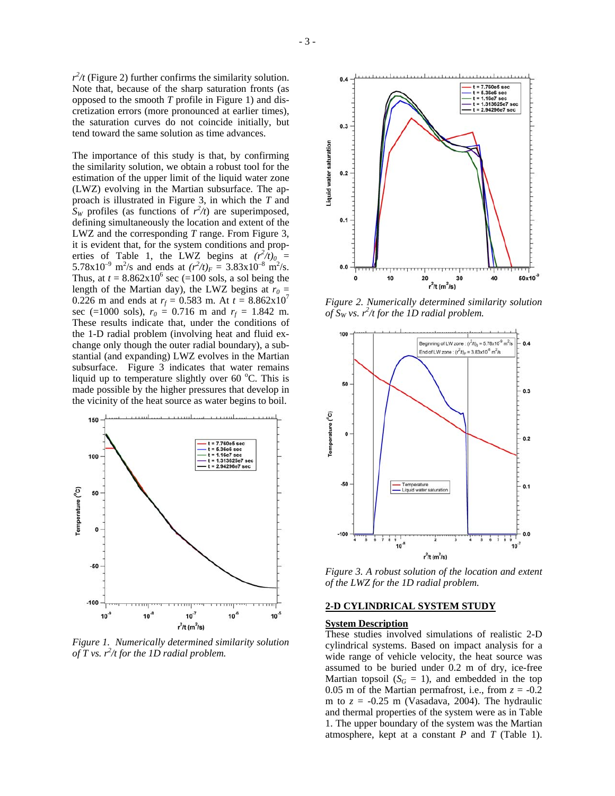The importance of this study is that, by confirming the similarity solution, we obtain a robust tool for the estimation of the upper limit of the liquid water zone (LWZ) evolving in the Martian subsurface. The approach is illustrated in Figure 3, in which the *T* and  $S_W$  profiles (as functions of  $r^2/t$ ) are superimposed, defining simultaneously the location and extent of the LWZ and the corresponding *T* range. From Figure 3, it is evident that, for the system conditions and properties of Table 1, the LWZ begins at  $(r^2/t)_{0}$  = 5.78x10<sup>-9</sup> m<sup>2</sup>/s and ends at  $(r^2/t)_F = 3.83x10^{-8}$  m<sup>2</sup>/s. Thus, at  $t = 8.862 \times 10^6$  sec (=100 sols, a sol being the length of the Martian day), the LWZ begins at  $r_0 =$ 0.226 m and ends at  $r_f = 0.583$  m. At  $t = 8.862 \times 10^7$ sec (=1000 sols),  $r_0 = 0.716$  m and  $r_f = 1.842$  m. These results indicate that, under the conditions of the 1-D radial problem (involving heat and fluid exchange only though the outer radial boundary), a substantial (and expanding) LWZ evolves in the Martian subsurface. Figure 3 indicates that water remains liquid up to temperature slightly over 60  $^{\circ}$ C. This is made possible by the higher pressures that develop in the vicinity of the heat source as water begins to boil.



*Figure 1. Numerically determined similarity solution*  $\int \int T$  vs.  $r^2/t$  for the 1D radial problem.



*Figure 2. Numerically determined similarity solution*  of  $S_W$  vs.  $r^2/t$  for the 1D radial problem.



*Figure 3. A robust solution of the location and extent of the LWZ for the 1D radial problem.* 

#### **2-D CYLINDRICAL SYSTEM STUDY**

#### **System Description**

These studies involved simulations of realistic 2-D cylindrical systems. Based on impact analysis for a wide range of vehicle velocity, the heat source was assumed to be buried under 0.2 m of dry, ice-free Martian topsoil  $(S_G = 1)$ , and embedded in the top 0.05 m of the Martian permafrost, i.e., from  $z = -0.2$ m to  $z = -0.25$  m (Vasadava, 2004). The hydraulic and thermal properties of the system were as in Table 1. The upper boundary of the system was the Martian atmosphere, kept at a constant *P* and *T* (Table 1).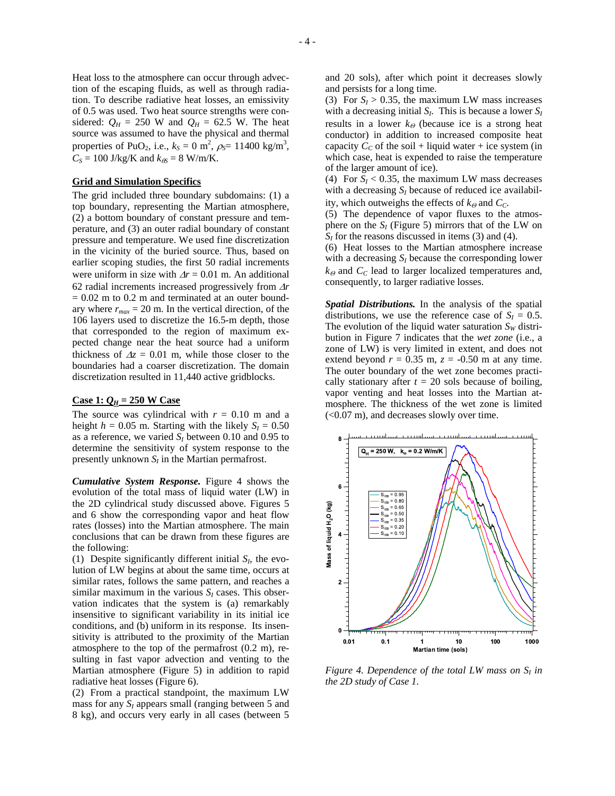Heat loss to the atmosphere can occur through advection of the escaping fluids, as well as through radiation. To describe radiative heat losses, an emissivity of 0.5 was used. Two heat source strengths were considered:  $Q_H = 250$  W and  $Q_H = 62.5$  W. The heat source was assumed to have the physical and thermal properties of PuO<sub>2</sub>, i.e.,  $k_S = 0$  m<sup>2</sup>,  $\rho_S = 11400$  kg/m<sup>3</sup>,  $C_S = 100$  J/kg/K and  $k_{\theta S} = 8$  W/m/K.

## **Grid and Simulation Specifics**

The grid included three boundary subdomains: (1) a top boundary, representing the Martian atmosphere, (2) a bottom boundary of constant pressure and temperature, and (3) an outer radial boundary of constant pressure and temperature. We used fine discretization in the vicinity of the buried source. Thus, based on earlier scoping studies, the first 50 radial increments were uniform in size with <sup>∆</sup>*r* = 0.01 m. An additional 62 radial increments increased progressively from <sup>∆</sup>*r*  $= 0.02$  m to 0.2 m and terminated at an outer boundary where  $r_{max} = 20$  m. In the vertical direction, of the 106 layers used to discretize the 16.5-m depth, those that corresponded to the region of maximum expected change near the heat source had a uniform thickness of  $\Delta z = 0.01$  m, while those closer to the boundaries had a coarser discretization. The domain discretization resulted in 11,440 active gridblocks.

## **Case 1:**  $Q_H = 250$  W Case

The source was cylindrical with  $r = 0.10$  m and a height  $h = 0.05$  m. Starting with the likely  $S<sub>I</sub> = 0.50$ as a reference, we varied  $S_I$  between 0.10 and 0.95 to determine the sensitivity of system response to the presently unknown  $S_l$  in the Martian permafrost.

*Cumulative System Response.* Figure 4 shows the evolution of the total mass of liquid water (LW) in the 2D cylindrical study discussed above. Figures 5 and 6 show the corresponding vapor and heat flow rates (losses) into the Martian atmosphere. The main conclusions that can be drawn from these figures are the following:

(1) Despite significantly different initial  $S_l$ , the evolution of LW begins at about the same time, occurs at similar rates, follows the same pattern, and reaches a similar maximum in the various  $S_I$  cases. This observation indicates that the system is (a) remarkably insensitive to significant variability in its initial ice conditions, and (b) uniform in its response. Its insensitivity is attributed to the proximity of the Martian atmosphere to the top of the permafrost (0.2 m), resulting in fast vapor advection and venting to the Martian atmosphere (Figure 5) in addition to rapid radiative heat losses (Figure 6).

(2) From a practical standpoint, the maximum LW mass for any  $S_I$  appears small (ranging between 5 and 8 kg), and occurs very early in all cases (between 5

and 20 sols), after which point it decreases slowly and persists for a long time.

(3) For  $S_I > 0.35$ , the maximum LW mass increases with a decreasing initial  $S_I$ . This is because a lower  $S_I$ results in a lower  $k_{\Theta}$  (because ice is a strong heat conductor) in addition to increased composite heat capacity  $C_C$  of the soil + liquid water + ice system (in which case, heat is expended to raise the temperature of the larger amount of ice).

(4) For  $S_I < 0.35$ , the maximum LW mass decreases with a decreasing  $S_I$  because of reduced ice availability, which outweighs the effects of  $k_{\Theta}$  and  $C_C$ .

(5) The dependence of vapor fluxes to the atmosphere on the  $S_I$  (Figure 5) mirrors that of the LW on  $S_I$  for the reasons discussed in items (3) and (4).

(6) Heat losses to the Martian atmosphere increase with a decreasing  $S_I$  because the corresponding lower  $k_{\Theta}$  and  $C_C$  lead to larger localized temperatures and, consequently, to larger radiative losses.

*Spatial Distributions.* In the analysis of the spatial distributions, we use the reference case of  $S_I = 0.5$ . The evolution of the liquid water saturation  $S_W$  distribution in Figure 7 indicates that the *wet zone* (i.e., a zone of LW) is very limited in extent, and does not extend beyond  $r = 0.35$  m,  $z = -0.50$  m at any time. The outer boundary of the wet zone becomes practically stationary after  $t = 20$  sols because of boiling, vapor venting and heat losses into the Martian atmosphere. The thickness of the wet zone is limited (<0.07 m), and decreases slowly over time.



*Figure 4. Dependence of the total LW mass on*  $S_I$  *in the 2D study of Case 1.*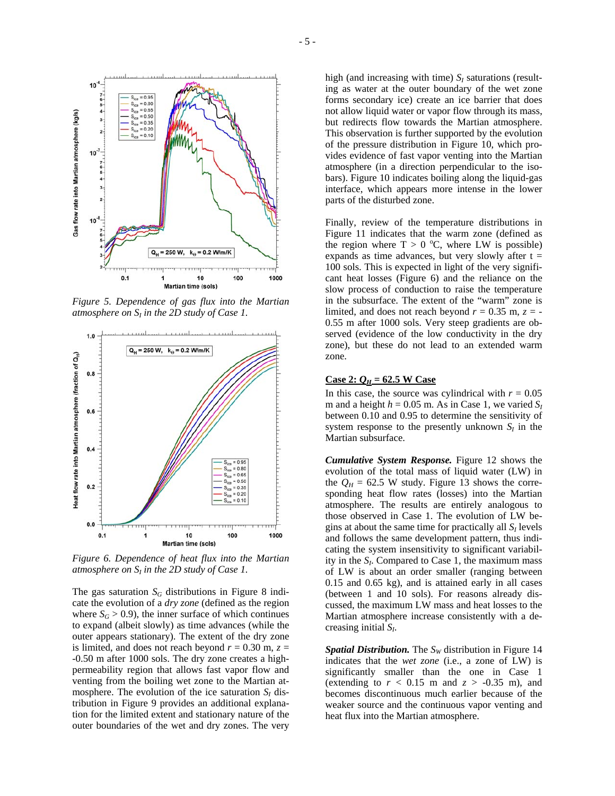

*Figure 5. Dependence of gas flux into the Martian atmosphere on SI in the 2D study of Case 1.*



*Figure 6. Dependence of heat flux into the Martian atmosphere on*  $S_l$  *in the 2D study of Case 1.* 

The gas saturation  $S_G$  distributions in Figure 8 indicate the evolution of a *dry zone* (defined as the region where  $S_G$  > 0.9), the inner surface of which continues to expand (albeit slowly) as time advances (while the outer appears stationary). The extent of the dry zone is limited, and does not reach beyond  $r = 0.30$  m,  $z =$ -0.50 m after 1000 sols. The dry zone creates a highpermeability region that allows fast vapor flow and venting from the boiling wet zone to the Martian atmosphere. The evolution of the ice saturation  $S<sub>I</sub>$  distribution in Figure 9 provides an additional explanation for the limited extent and stationary nature of the outer boundaries of the wet and dry zones. The very

high (and increasing with time)  $S_I$  saturations (resulting as water at the outer boundary of the wet zone forms secondary ice) create an ice barrier that does not allow liquid water or vapor flow through its mass, but redirects flow towards the Martian atmosphere. This observation is further supported by the evolution of the pressure distribution in Figure 10, which provides evidence of fast vapor venting into the Martian atmosphere (in a direction perpendicular to the isobars). Figure 10 indicates boiling along the liquid-gas interface, which appears more intense in the lower parts of the disturbed zone.

Finally, review of the temperature distributions in Figure 11 indicates that the warm zone (defined as the region where  $T > 0$  °C, where LW is possible) expands as time advances, but very slowly after  $t =$ 100 sols. This is expected in light of the very significant heat losses (Figure 6) and the reliance on the slow process of conduction to raise the temperature in the subsurface. The extent of the "warm" zone is limited, and does not reach beyond  $r = 0.35$  m,  $z = -$ 0.55 m after 1000 sols. Very steep gradients are observed (evidence of the low conductivity in the dry zone), but these do not lead to an extended warm zone.

## **Case 2:**  $Q_H = 62.5$  W Case

In this case, the source was cylindrical with  $r = 0.05$ m and a height  $h = 0.05$  m. As in Case 1, we varied  $S_I$ between 0.10 and 0.95 to determine the sensitivity of system response to the presently unknown  $S_I$  in the Martian subsurface.

*Cumulative System Response.* Figure 12 shows the evolution of the total mass of liquid water (LW) in the  $Q_H = 62.5$  W study. Figure 13 shows the corresponding heat flow rates (losses) into the Martian atmosphere. The results are entirely analogous to those observed in Case 1. The evolution of LW begins at about the same time for practically all  $S_I$  levels and follows the same development pattern, thus indicating the system insensitivity to significant variability in the  $S_I$ . Compared to Case 1, the maximum mass of LW is about an order smaller (ranging between 0.15 and 0.65 kg), and is attained early in all cases (between 1 and 10 sols). For reasons already discussed, the maximum LW mass and heat losses to the Martian atmosphere increase consistently with a decreasing initial *SI*.

*Spatial Distribution.* The *S<sub>W</sub>* distribution in Figure 14 indicates that the *wet zone* (i.e., a zone of LW) is significantly smaller than the one in Case 1 (extending to  $r < 0.15$  m and  $z > -0.35$  m), and becomes discontinuous much earlier because of the weaker source and the continuous vapor venting and heat flux into the Martian atmosphere.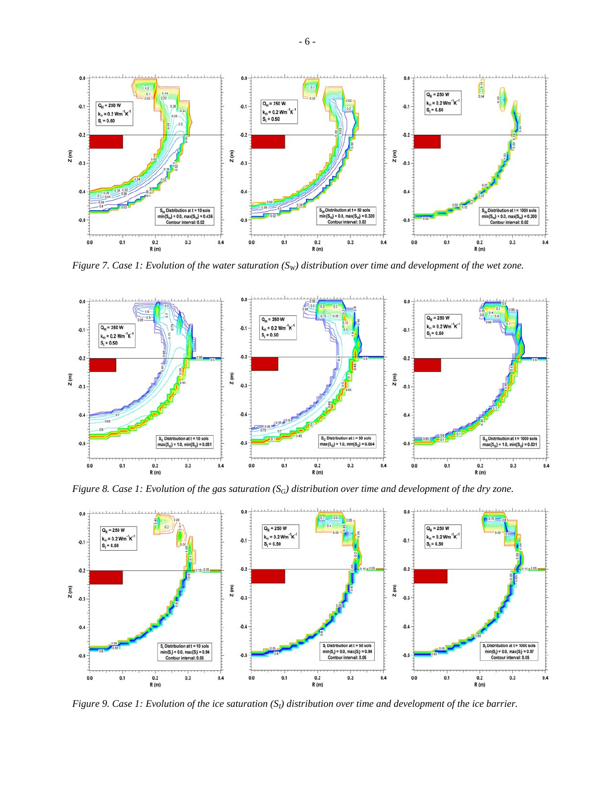

*Figure 7. Case 1: Evolution of the water saturation (S<sub>W</sub>) distribution over time and development of the wet zone.* 



*Figure 8. Case 1: Evolution of the gas saturation (SG) distribution over time and development of the dry zone.* 



*Figure 9. Case 1: Evolution of the ice saturation (S<sub>I</sub>) distribution over time and development of the ice barrier.*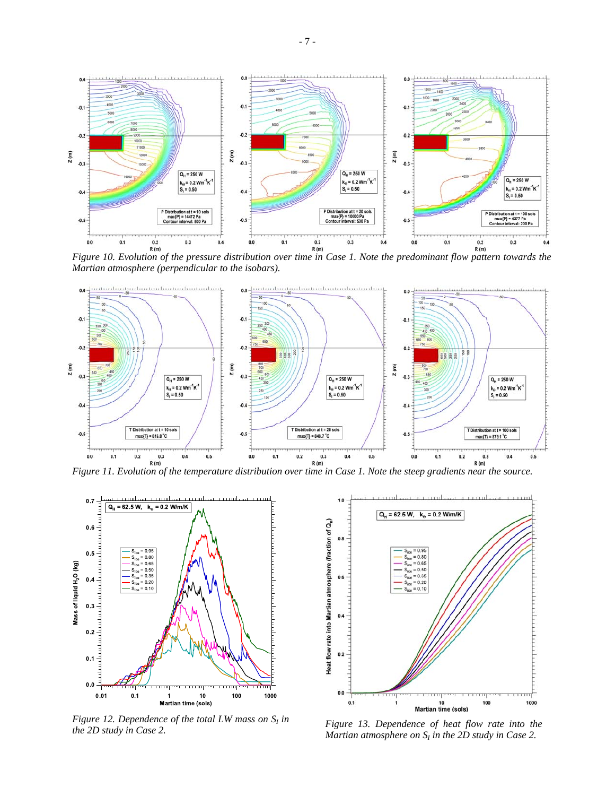

*Figure 10. Evolution of the pressure distribution over time in Case 1. Note the predominant flow pattern towards the Martian atmosphere (perpendicular to the isobars).* 





*Figure 12. Dependence of the total LW mass on*  $S_I$  *in the 2D study in Case 2.* 



*the 2D study in Case 2. Figure 13. Dependence of heat flow rate into the Martian atmosphere on*  $S<sub>I</sub>$  *in the 2D study in Case 2.*